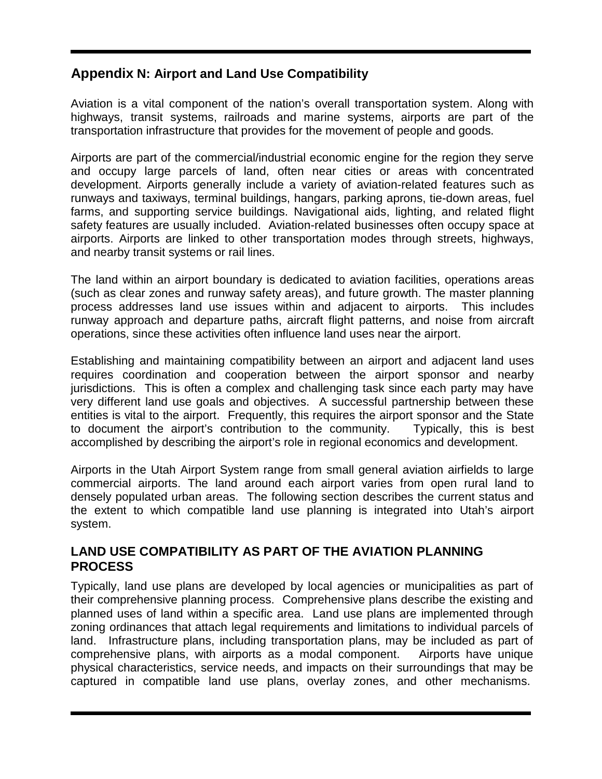# **Appendix N: Airport and Land Use Compatibility**

Aviation is a vital component of the nation's overall transportation system. Along with highways, transit systems, railroads and marine systems, airports are part of the transportation infrastructure that provides for the movement of people and goods.

Airports are part of the commercial/industrial economic engine for the region they serve and occupy large parcels of land, often near cities or areas with concentrated development. Airports generally include a variety of aviation-related features such as runways and taxiways, terminal buildings, hangars, parking aprons, tie-down areas, fuel farms, and supporting service buildings. Navigational aids, lighting, and related flight safety features are usually included. Aviation-related businesses often occupy space at airports. Airports are linked to other transportation modes through streets, highways, and nearby transit systems or rail lines.

The land within an airport boundary is dedicated to aviation facilities, operations areas (such as clear zones and runway safety areas), and future growth. The master planning process addresses land use issues within and adjacent to airports. This includes runway approach and departure paths, aircraft flight patterns, and noise from aircraft operations, since these activities often influence land uses near the airport.

Establishing and maintaining compatibility between an airport and adjacent land uses requires coordination and cooperation between the airport sponsor and nearby jurisdictions. This is often a complex and challenging task since each party may have very different land use goals and objectives. A successful partnership between these entities is vital to the airport. Frequently, this requires the airport sponsor and the State to document the airport's contribution to the community. Typically, this is best accomplished by describing the airport's role in regional economics and development.

Airports in the Utah Airport System range from small general aviation airfields to large commercial airports. The land around each airport varies from open rural land to densely populated urban areas. The following section describes the current status and the extent to which compatible land use planning is integrated into Utah's airport system.

## **LAND USE COMPATIBILITY AS PART OF THE AVIATION PLANNING PROCESS**

Typically, land use plans are developed by local agencies or municipalities as part of their comprehensive planning process. Comprehensive plans describe the existing and planned uses of land within a specific area. Land use plans are implemented through zoning ordinances that attach legal requirements and limitations to individual parcels of land. Infrastructure plans, including transportation plans, may be included as part of comprehensive plans, with airports as a modal component. Airports have unique physical characteristics, service needs, and impacts on their surroundings that may be captured in compatible land use plans, overlay zones, and other mechanisms.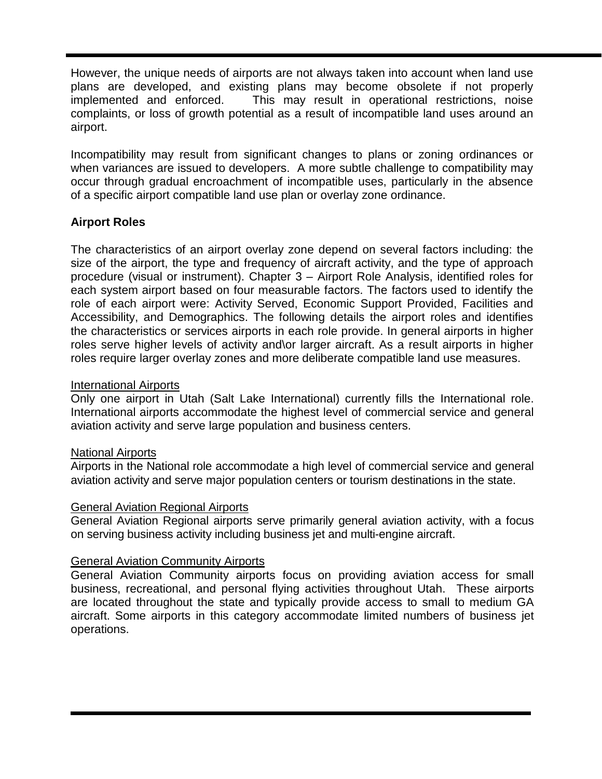However, the unique needs of airports are not always taken into account when land use plans are developed, and existing plans may become obsolete if not properly implemented and enforced. This may result in operational restrictions, noise complaints, or loss of growth potential as a result of incompatible land uses around an airport.

Incompatibility may result from significant changes to plans or zoning ordinances or when variances are issued to developers. A more subtle challenge to compatibility may occur through gradual encroachment of incompatible uses, particularly in the absence of a specific airport compatible land use plan or overlay zone ordinance.

## **Airport Roles**

The characteristics of an airport overlay zone depend on several factors including: the size of the airport, the type and frequency of aircraft activity, and the type of approach procedure (visual or instrument). Chapter 3 – Airport Role Analysis, identified roles for each system airport based on four measurable factors. The factors used to identify the role of each airport were: Activity Served, Economic Support Provided, Facilities and Accessibility, and Demographics. The following details the airport roles and identifies the characteristics or services airports in each role provide. In general airports in higher roles serve higher levels of activity and\or larger aircraft. As a result airports in higher roles require larger overlay zones and more deliberate compatible land use measures.

#### International Airports

Only one airport in Utah (Salt Lake International) currently fills the International role. International airports accommodate the highest level of commercial service and general aviation activity and serve large population and business centers.

#### National Airports

Airports in the National role accommodate a high level of commercial service and general aviation activity and serve major population centers or tourism destinations in the state.

#### General Aviation Regional Airports

General Aviation Regional airports serve primarily general aviation activity, with a focus on serving business activity including business jet and multi-engine aircraft.

#### General Aviation Community Airports

General Aviation Community airports focus on providing aviation access for small business, recreational, and personal flying activities throughout Utah. These airports are located throughout the state and typically provide access to small to medium GA aircraft. Some airports in this category accommodate limited numbers of business jet operations.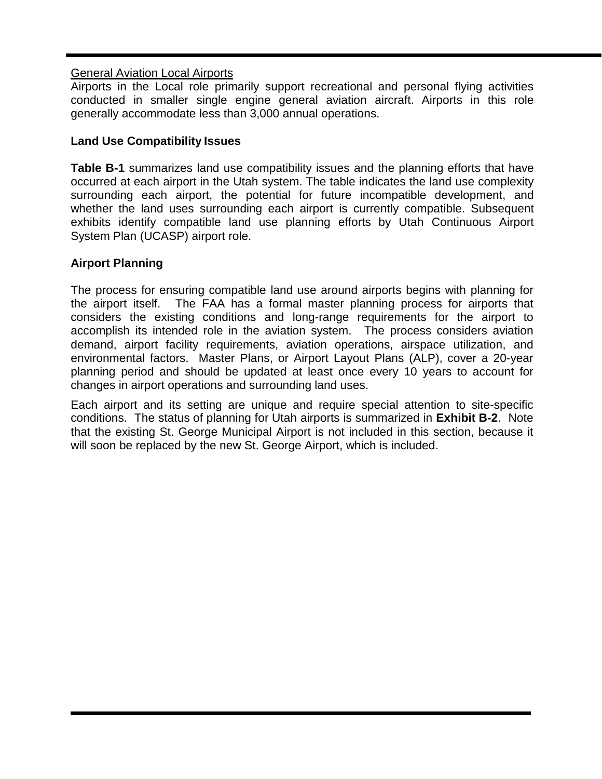### General Aviation Local Airports

Airports in the Local role primarily support recreational and personal flying activities conducted in smaller single engine general aviation aircraft. Airports in this role generally accommodate less than 3,000 annual operations.

### **Land Use Compatibility Issues**

**Table B-1** summarizes land use compatibility issues and the planning efforts that have occurred at each airport in the Utah system. The table indicates the land use complexity surrounding each airport, the potential for future incompatible development, and whether the land uses surrounding each airport is currently compatible. Subsequent exhibits identify compatible land use planning efforts by Utah Continuous Airport System Plan (UCASP) airport role.

## **Airport Planning**

The process for ensuring compatible land use around airports begins with planning for the airport itself. The FAA has a formal master planning process for airports that considers the existing conditions and long-range requirements for the airport to accomplish its intended role in the aviation system. The process considers aviation demand, airport facility requirements, aviation operations, airspace utilization, and environmental factors. Master Plans, or Airport Layout Plans (ALP), cover a 20-year planning period and should be updated at least once every 10 years to account for changes in airport operations and surrounding land uses.

Each airport and its setting are unique and require special attention to site-specific conditions. The status of planning for Utah airports is summarized in **Exhibit B-2**. Note that the existing St. George Municipal Airport is not included in this section, because it will soon be replaced by the new St. George Airport, which is included.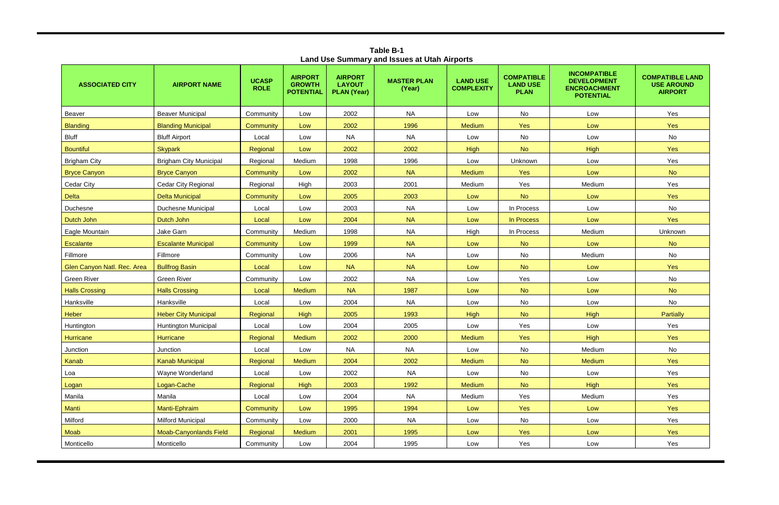| Land Use Summary and Issues at Utah Airports |                               |                             |                                                     |                                                       |                              |                                      |                                                     |                                                                                      |                                                               |
|----------------------------------------------|-------------------------------|-----------------------------|-----------------------------------------------------|-------------------------------------------------------|------------------------------|--------------------------------------|-----------------------------------------------------|--------------------------------------------------------------------------------------|---------------------------------------------------------------|
| <b>ASSOCIATED CITY</b>                       | <b>AIRPORT NAME</b>           | <b>UCASP</b><br><b>ROLE</b> | <b>AIRPORT</b><br><b>GROWTH</b><br><b>POTENTIAL</b> | <b>AIRPORT</b><br><b>LAYOUT</b><br><b>PLAN (Year)</b> | <b>MASTER PLAN</b><br>(Year) | <b>LAND USE</b><br><b>COMPLEXITY</b> | <b>COMPATIBLE</b><br><b>LAND USE</b><br><b>PLAN</b> | <b>INCOMPATIBLE</b><br><b>DEVELOPMENT</b><br><b>ENCROACHMENT</b><br><b>POTENTIAL</b> | <b>COMPATIBLE LAND</b><br><b>USE AROUND</b><br><b>AIRPORT</b> |
| Beaver                                       | <b>Beaver Municipal</b>       | Community                   | Low                                                 | 2002                                                  | <b>NA</b>                    | Low                                  | No                                                  | Low                                                                                  | Yes                                                           |
| <b>Blanding</b>                              | <b>Blanding Municipal</b>     | Community                   | Low                                                 | 2002                                                  | 1996                         | <b>Medium</b>                        | Yes                                                 | Low                                                                                  | Yes                                                           |
| <b>Bluff</b>                                 | <b>Bluff Airport</b>          | Local                       | Low                                                 | <b>NA</b>                                             | <b>NA</b>                    | Low                                  | No                                                  | Low                                                                                  | No                                                            |
| <b>Bountiful</b>                             | <b>Skypark</b>                | Regional                    | Low                                                 | 2002                                                  | 2002                         | <b>High</b>                          | <b>No</b>                                           | <b>High</b>                                                                          | Yes                                                           |
| <b>Brigham City</b>                          | <b>Brigham City Municipal</b> | Regional                    | Medium                                              | 1998                                                  | 1996                         | Low                                  | Unknown                                             | Low                                                                                  | Yes                                                           |
| <b>Bryce Canyon</b>                          | <b>Bryce Canyon</b>           | Community                   | Low                                                 | 2002                                                  | <b>NA</b>                    | <b>Medium</b>                        | Yes                                                 | Low                                                                                  | <b>No</b>                                                     |
| Cedar City                                   | <b>Cedar City Regional</b>    | Regional                    | High                                                | 2003                                                  | 2001                         | Medium                               | Yes                                                 | Medium                                                                               | Yes                                                           |
| <b>Delta</b>                                 | <b>Delta Municipal</b>        | Community                   | Low                                                 | 2005                                                  | 2003                         | Low                                  | <b>No</b>                                           | Low                                                                                  | <b>Yes</b>                                                    |
| Duchesne                                     | <b>Duchesne Municipal</b>     | Local                       | Low                                                 | 2003                                                  | <b>NA</b>                    | Low                                  | In Process                                          | Low                                                                                  | No                                                            |
| Dutch John                                   | Dutch John                    | Local                       | Low                                                 | 2004                                                  | <b>NA</b>                    | Low                                  | In Process                                          | Low                                                                                  | <b>Yes</b>                                                    |
| Eagle Mountain                               | Jake Garn                     | Community                   | Medium                                              | 1998                                                  | <b>NA</b>                    | High                                 | In Process                                          | Medium                                                                               | Unknown                                                       |
| <b>Escalante</b>                             | <b>Escalante Municipal</b>    | Community                   | Low                                                 | 1999                                                  | <b>NA</b>                    | Low                                  | <b>No</b>                                           | Low                                                                                  | <b>No</b>                                                     |
| Fillmore                                     | Fillmore                      | Community                   | Low                                                 | 2006                                                  | <b>NA</b>                    | Low                                  | No                                                  | Medium                                                                               | No                                                            |
| Glen Canyon Natl. Rec. Area                  | <b>Bullfrog Basin</b>         | Local                       | Low                                                 | <b>NA</b>                                             | <b>NA</b>                    | Low                                  | <b>No</b>                                           | Low                                                                                  | <b>Yes</b>                                                    |
| <b>Green River</b>                           | <b>Green River</b>            | Community                   | Low                                                 | 2002                                                  | <b>NA</b>                    | Low                                  | Yes                                                 | Low                                                                                  | No                                                            |
| <b>Halls Crossing</b>                        | <b>Halls Crossing</b>         | Local                       | <b>Medium</b>                                       | <b>NA</b>                                             | 1987                         | Low                                  | <b>No</b>                                           | Low                                                                                  | <b>No</b>                                                     |
| Hanksville                                   | Hanksville                    | Local                       | Low                                                 | 2004                                                  | <b>NA</b>                    | Low                                  | No                                                  | Low                                                                                  | No                                                            |
| Heber                                        | <b>Heber City Municipal</b>   | Regional                    | <b>High</b>                                         | 2005                                                  | 1993                         | <b>High</b>                          | <b>No</b>                                           | <b>High</b>                                                                          | <b>Partially</b>                                              |
| Huntington                                   | <b>Huntington Municipal</b>   | Local                       | Low                                                 | 2004                                                  | 2005                         | Low                                  | Yes                                                 | Low                                                                                  | Yes                                                           |
| Hurricane                                    | <b>Hurricane</b>              | Regional                    | <b>Medium</b>                                       | 2002                                                  | 2000                         | <b>Medium</b>                        | <b>Yes</b>                                          | <b>High</b>                                                                          | Yes                                                           |
| Junction                                     | Junction                      | Local                       | Low                                                 | <b>NA</b>                                             | <b>NA</b>                    | Low                                  | No                                                  | Medium                                                                               | No                                                            |
| Kanab                                        | <b>Kanab Municipal</b>        | Regional                    | Medium                                              | 2004                                                  | 2002                         | <b>Medium</b>                        | <b>No</b>                                           | <b>Medium</b>                                                                        | <b>Yes</b>                                                    |
| Loa                                          | Wayne Wonderland              | Local                       | Low                                                 | 2002                                                  | <b>NA</b>                    | Low                                  | No                                                  | Low                                                                                  | Yes                                                           |
| Logan                                        | Logan-Cache                   | Regional                    | High                                                | 2003                                                  | 1992                         | <b>Medium</b>                        | <b>No</b>                                           | <b>High</b>                                                                          | <b>Yes</b>                                                    |
| Manila                                       | Manila                        | Local                       | Low                                                 | 2004                                                  | <b>NA</b>                    | Medium                               | Yes                                                 | Medium                                                                               | Yes                                                           |
| Manti                                        | Manti-Ephraim                 | Community                   | Low                                                 | 1995                                                  | 1994                         | Low                                  | Yes                                                 | Low                                                                                  | <b>Yes</b>                                                    |
| Milford                                      | <b>Milford Municipal</b>      | Community                   | Low                                                 | 2000                                                  | <b>NA</b>                    | Low                                  | No                                                  | Low                                                                                  | Yes                                                           |
| Moab                                         | <b>Moab-Canyonlands Field</b> | Regional                    | <b>Medium</b>                                       | 2001                                                  | 1995                         | Low                                  | Yes                                                 | Low                                                                                  | <b>Yes</b>                                                    |
| Monticello                                   | Monticello                    | Community                   | Low                                                 | 2004                                                  | 1995                         | Low                                  | Yes                                                 | Low                                                                                  | Yes                                                           |

**Table B-1 Land Use Summary and Issues at Utah Airports**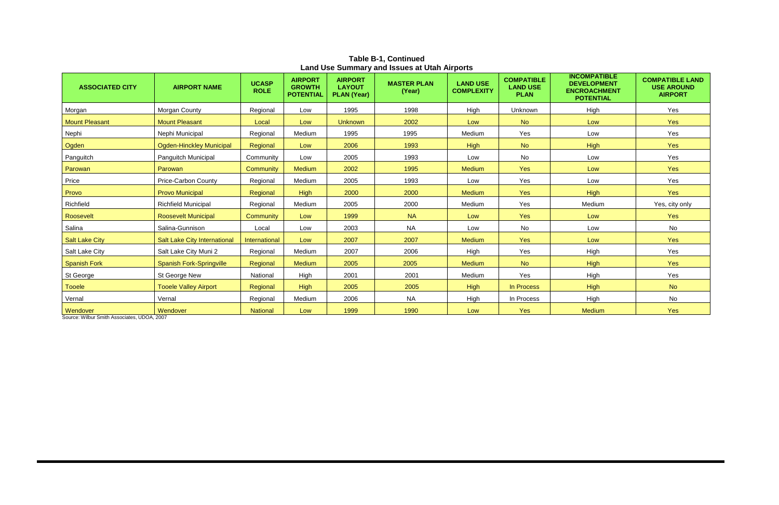| Land OSC Odinmary and ISSUCS at Olan Airports |                                 |                             |                                                     |                                                       |                              |                                      |                                                     |                                                                                      |                                                               |
|-----------------------------------------------|---------------------------------|-----------------------------|-----------------------------------------------------|-------------------------------------------------------|------------------------------|--------------------------------------|-----------------------------------------------------|--------------------------------------------------------------------------------------|---------------------------------------------------------------|
| <b>ASSOCIATED CITY</b>                        | <b>AIRPORT NAME</b>             | <b>UCASP</b><br><b>ROLE</b> | <b>AIRPORT</b><br><b>GROWTH</b><br><b>POTENTIAL</b> | <b>AIRPORT</b><br><b>LAYOUT</b><br><b>PLAN (Year)</b> | <b>MASTER PLAN</b><br>(Year) | <b>LAND USE</b><br><b>COMPLEXITY</b> | <b>COMPATIBLE</b><br><b>LAND USE</b><br><b>PLAN</b> | <b>INCOMPATIBLE</b><br><b>DEVELOPMENT</b><br><b>ENCROACHMENT</b><br><b>POTENTIAL</b> | <b>COMPATIBLE LAND</b><br><b>USE AROUND</b><br><b>AIRPORT</b> |
| Morgan                                        | Morgan County                   | Regional                    | Low                                                 | 1995                                                  | 1998                         | High                                 | Unknown                                             | High                                                                                 | Yes                                                           |
| <b>Mount Pleasant</b>                         | <b>Mount Pleasant</b>           | Local                       | Low                                                 | <b>Unknown</b>                                        | 2002                         | Low                                  | <b>No</b>                                           | Low                                                                                  | Yes                                                           |
| Nephi                                         | Nephi Municipal                 | Regional                    | Medium                                              | 1995                                                  | 1995                         | Medium                               | Yes                                                 | Low                                                                                  | Yes                                                           |
| Ogden                                         | Ogden-Hinckley Municipal        | Regional                    | Low                                                 | 2006                                                  | 1993                         | <b>High</b>                          | <b>No</b>                                           | High                                                                                 | Yes                                                           |
| Panguitch                                     | Panguitch Municipal             | Community                   | Low                                                 | 2005                                                  | 1993                         | Low                                  | No                                                  | Low                                                                                  | Yes                                                           |
| Parowan                                       | Parowan                         | Community                   | <b>Medium</b>                                       | 2002                                                  | 1995                         | <b>Medium</b>                        | Yes                                                 | Low                                                                                  | Yes                                                           |
| Price                                         | <b>Price-Carbon County</b>      | Regional                    | Medium                                              | 2005                                                  | 1993                         | Low                                  | Yes                                                 | Low                                                                                  | Yes                                                           |
| Provo                                         | <b>Provo Municipal</b>          | Regional                    | <b>High</b>                                         | 2000                                                  | 2000                         | <b>Medium</b>                        | <b>Yes</b>                                          | High                                                                                 | Yes                                                           |
| Richfield                                     | <b>Richfield Municipal</b>      | Regional                    | Medium                                              | 2005                                                  | 2000                         | Medium                               | Yes                                                 | Medium                                                                               | Yes, city only                                                |
| Roosevelt                                     | <b>Roosevelt Municipal</b>      | Community                   | Low                                                 | 1999                                                  | <b>NA</b>                    | Low                                  | <b>Yes</b>                                          | Low                                                                                  | <b>Yes</b>                                                    |
| Salina                                        | Salina-Gunnison                 | Local                       | Low                                                 | 2003                                                  | <b>NA</b>                    | Low                                  | No                                                  | Low                                                                                  | No                                                            |
| <b>Salt Lake City</b>                         | Salt Lake City International    | International               | Low                                                 | 2007                                                  | 2007                         | <b>Medium</b>                        | Yes                                                 | Low                                                                                  | Yes                                                           |
| Salt Lake City                                | Salt Lake City Muni 2           | Regional                    | Medium                                              | 2007                                                  | 2006                         | High                                 | Yes                                                 | High                                                                                 | Yes                                                           |
| <b>Spanish Fork</b>                           | <b>Spanish Fork-Springville</b> | Regional                    | <b>Medium</b>                                       | 2005                                                  | 2005                         | <b>Medium</b>                        | <b>No</b>                                           | High                                                                                 | Yes                                                           |
| St George                                     | St George New                   | National                    | High                                                | 2001                                                  | 2001                         | Medium                               | Yes                                                 | High                                                                                 | Yes                                                           |
| <b>Tooele</b>                                 | <b>Tooele Valley Airport</b>    | Regional                    | High                                                | 2005                                                  | 2005                         | <b>High</b>                          | In Process                                          | High                                                                                 | <b>No</b>                                                     |
| Vernal                                        | Vernal                          | Regional                    | Medium                                              | 2006                                                  | <b>NA</b>                    | High                                 | In Process                                          | High                                                                                 | No                                                            |
| Wendover                                      | Wendover                        | <b>National</b>             | Low                                                 | 1999                                                  | 1990                         | Low                                  | Yes                                                 | <b>Medium</b>                                                                        | Yes                                                           |

**Table B-1, Continued Land Use Summary and Issues at Utah Airports**

Source: Wilbur Smith Associates, UDOA, 2007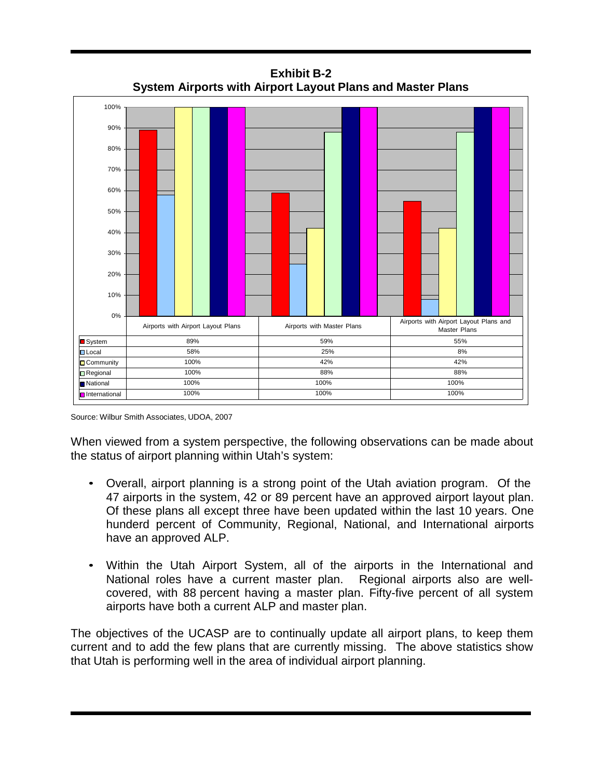

**Exhibit B-2 System Airports with Airport Layout Plans and Master Plans**

Source: Wilbur Smith Associates, UDOA, 2007

When viewed from a system perspective, the following observations can be made about the status of airport planning within Utah's system:

- Overall, airport planning is a strong point of the Utah aviation program. Of the 47 airports in the system, 42 or 89 percent have an approved airport layout plan. Of these plans all except three have been updated within the last 10 years. One hunderd percent of Community, Regional, National, and International airports have an approved ALP.
- Within the Utah Airport System, all of the airports in the International and National roles have a current master plan. Regional airports also are wellcovered, with 88 percent having a master plan. Fifty-five percent of all system airports have both a current ALP and master plan.

The objectives of the UCASP are to continually update all airport plans, to keep them current and to add the few plans that are currently missing. The above statistics show that Utah is performing well in the area of individual airport planning.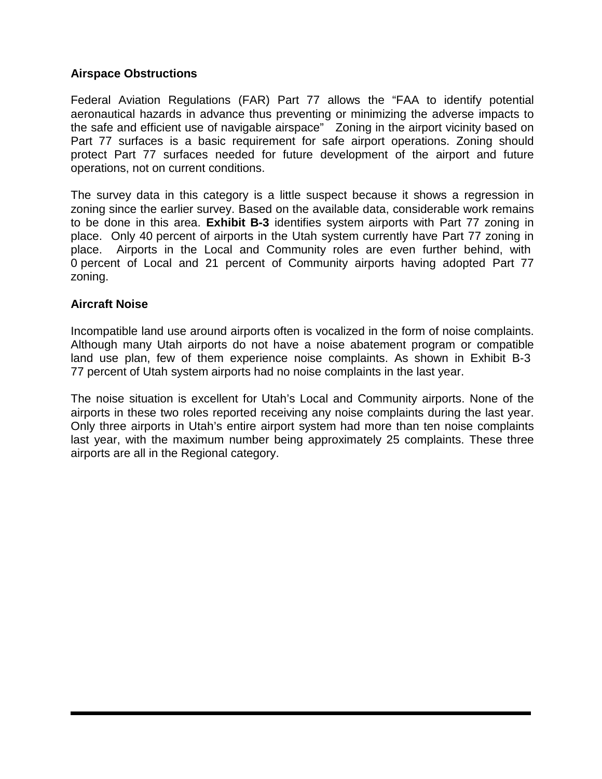### **Airspace Obstructions**

Federal Aviation Regulations (FAR) Part 77 allows the "FAA to identify potential aeronautical hazards in advance thus preventing or minimizing the adverse impacts to the safe and efficient use of navigable airspace" Zoning in the airport vicinity based on Part 77 surfaces is a basic requirement for safe airport operations. Zoning should protect Part 77 surfaces needed for future development of the airport and future operations, not on current conditions.

The survey data in this category is a little suspect because it shows a regression in zoning since the earlier survey. Based on the available data, considerable work remains to be done in this area. **Exhibit B-3** identifies system airports with Part 77 zoning in place. Only 40 percent of airports in the Utah system currently have Part 77 zoning in place. Airports in the Local and Community roles are even further behind, with 0 percent of Local and 21 percent of Community airports having adopted Part 77 zoning.

#### **Aircraft Noise**

Incompatible land use around airports often is vocalized in the form of noise complaints. Although many Utah airports do not have a noise abatement program or compatible land use plan, few of them experience noise complaints. As shown in Exhibit B-3 77 percent of Utah system airports had no noise complaints in the last year.

The noise situation is excellent for Utah's Local and Community airports. None of the airports in these two roles reported receiving any noise complaints during the last year. Only three airports in Utah's entire airport system had more than ten noise complaints last year, with the maximum number being approximately 25 complaints. These three airports are all in the Regional category.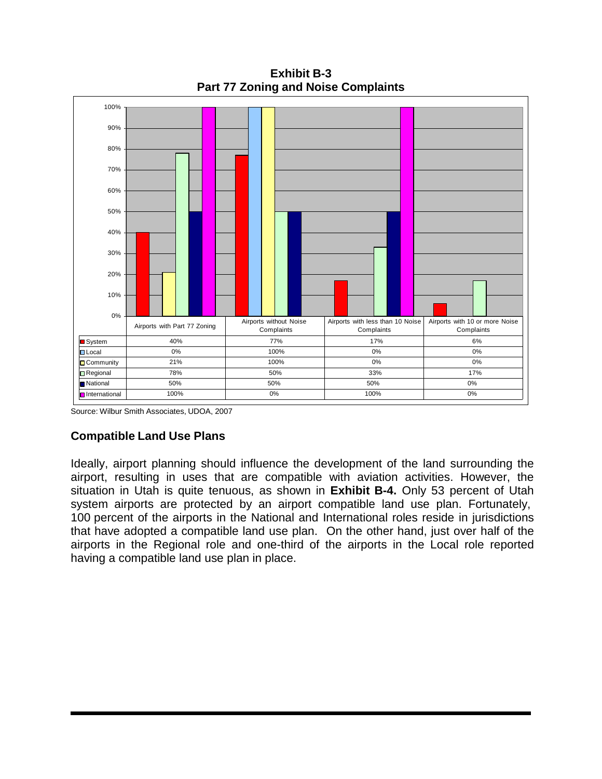

**Exhibit B-3 Part 77 Zoning and Noise Complaints**

Source: Wilbur Smith Associates, UDOA, 2007

## **Compatible Land Use Plans**

Ideally, airport planning should influence the development of the land surrounding the airport, resulting in uses that are compatible with aviation activities. However, the situation in Utah is quite tenuous, as shown in **Exhibit B-4.** Only 53 percent of Utah system airports are protected by an airport compatible land use plan. Fortunately, 100 percent of the airports in the National and International roles reside in jurisdictions that have adopted a compatible land use plan. On the other hand, just over half of the airports in the Regional role and one-third of the airports in the Local role reported having a compatible land use plan in place.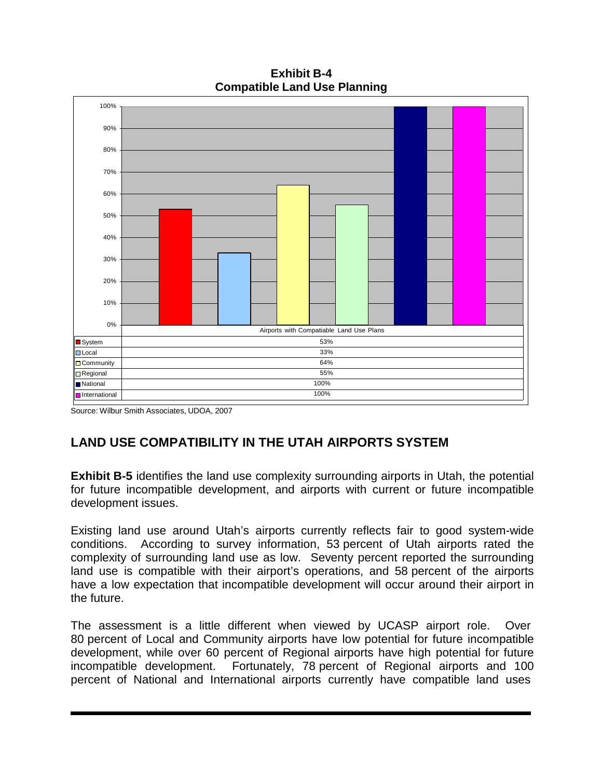**Exhibit B-4 Compatible Land Use Planning**



Source: Wilbur Smith Associates, UDOA, 2007

# **LAND USE COMPATIBILITY IN THE UTAH AIRPORTS SYSTEM**

**Exhibit B-5** identifies the land use complexity surrounding airports in Utah, the potential for future incompatible development, and airports with current or future incompatible development issues.

Existing land use around Utah's airports currently reflects fair to good system-wide conditions. According to survey information, 53 percent of Utah airports rated the complexity of surrounding land use as low. Seventy percent reported the surrounding land use is compatible with their airport's operations, and 58 percent of the airports have a low expectation that incompatible development will occur around their airport in the future.

The assessment is a little different when viewed by UCASP airport role. Over 80 percent of Local and Community airports have low potential for future incompatible development, while over 60 percent of Regional airports have high potential for future incompatible development. Fortunately, 78 percent of Regional airports and 100 percent of National and International airports currently have compatible land uses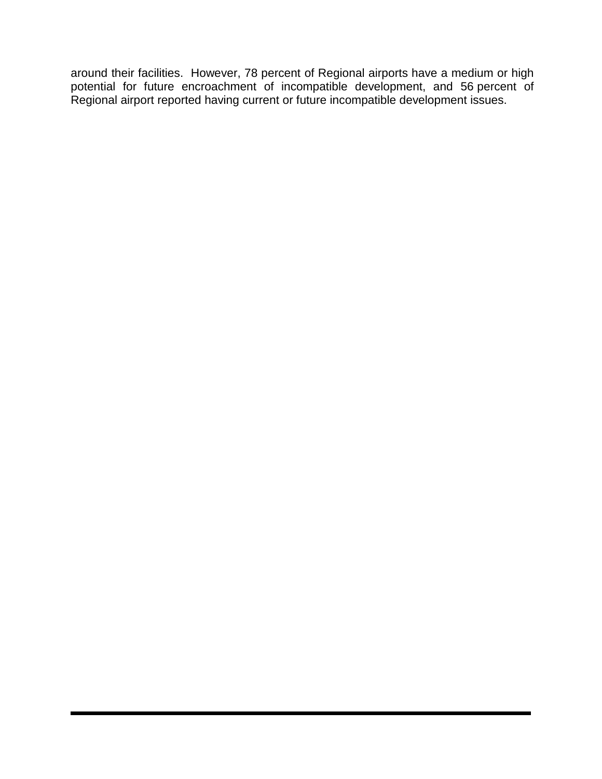around their facilities. However, 78 percent of Regional airports have a medium or high potential for future encroachment of incompatible development, and 56 percent of Regional airport reported having current or future incompatible development issues.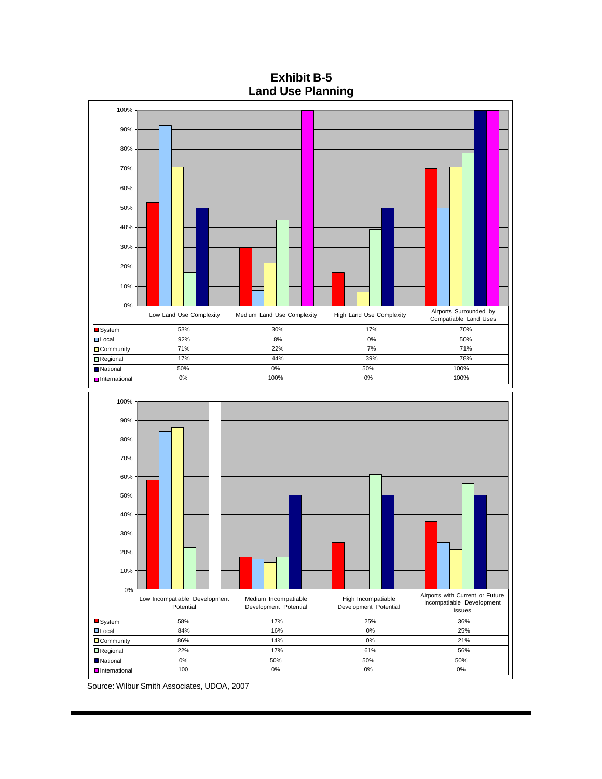**Exhibit B-5 Land Use Planning**



Source: Wilbur Smith Associates, UDOA, 2007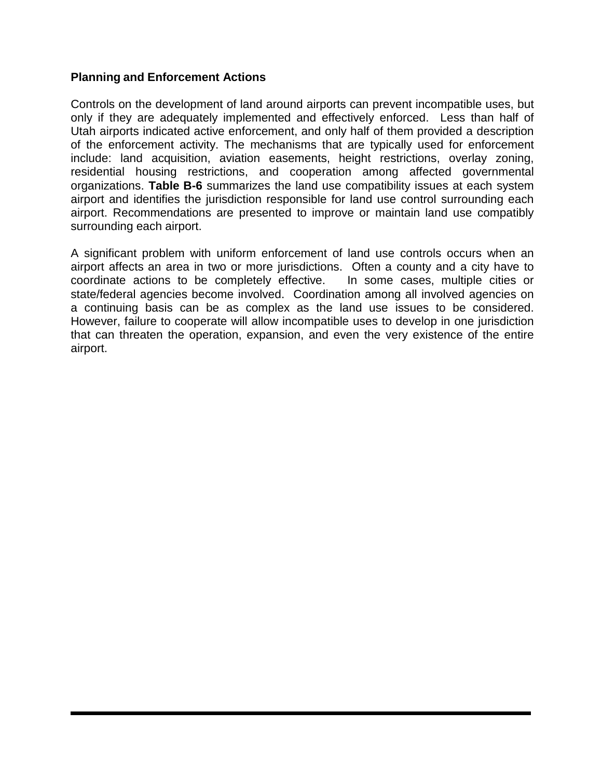### **Planning and Enforcement Actions**

Controls on the development of land around airports can prevent incompatible uses, but only if they are adequately implemented and effectively enforced. Less than half of Utah airports indicated active enforcement, and only half of them provided a description of the enforcement activity. The mechanisms that are typically used for enforcement include: land acquisition, aviation easements, height restrictions, overlay zoning, residential housing restrictions, and cooperation among affected governmental organizations. **Table B-6** summarizes the land use compatibility issues at each system airport and identifies the jurisdiction responsible for land use control surrounding each airport. Recommendations are presented to improve or maintain land use compatibly surrounding each airport.

A significant problem with uniform enforcement of land use controls occurs when an airport affects an area in two or more jurisdictions. Often a county and a city have to coordinate actions to be completely effective. In some cases, multiple cities or state/federal agencies become involved. Coordination among all involved agencies on a continuing basis can be as complex as the land use issues to be considered. However, failure to cooperate will allow incompatible uses to develop in one jurisdiction that can threaten the operation, expansion, and even the very existence of the entire airport.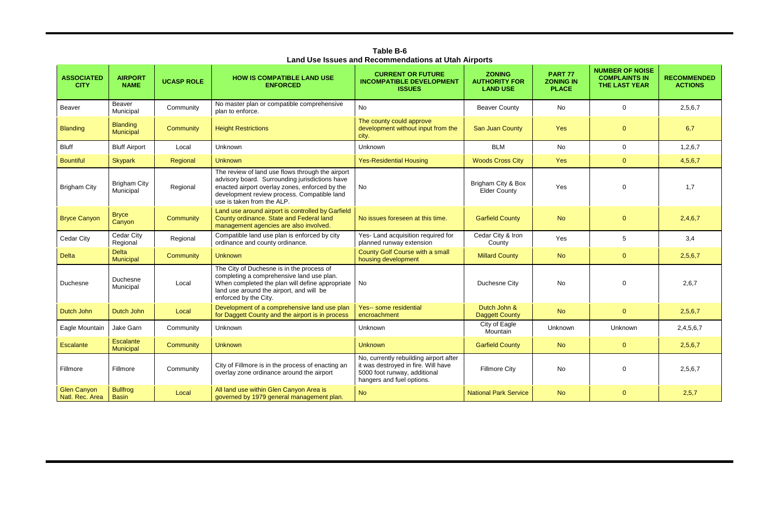| <b>ASSOCIATED</b><br><b>CITY</b>      | <b>AIRPORT</b><br><b>NAME</b>    | <b>UCASP ROLE</b> | <b>HOW IS COMPATIBLE LAND USE</b><br><b>ENFORCED</b>                                                                                                                                                                              | <b>CURRENT OR FUTURE</b><br><b>INCOMPATIBLE DEVELOPMENT</b><br><b>ISSUES</b>                                                               | <b>ZONING</b><br><b>AUTHORITY FOR</b><br><b>LAND USE</b> | <b>PART 77</b><br><b>ZONING IN</b><br><b>PLACE</b> | <b>NUMBER OF NOISE</b><br><b>COMPLAINTS IN</b><br><b>THE LAST YEAR</b> | <b>RECOMMENDED</b><br><b>ACTIONS</b> |
|---------------------------------------|----------------------------------|-------------------|-----------------------------------------------------------------------------------------------------------------------------------------------------------------------------------------------------------------------------------|--------------------------------------------------------------------------------------------------------------------------------------------|----------------------------------------------------------|----------------------------------------------------|------------------------------------------------------------------------|--------------------------------------|
| Beaver                                | Beaver<br>Municipal              | Community         | No master plan or compatible comprehensive<br>plan to enforce.                                                                                                                                                                    | <b>No</b>                                                                                                                                  | <b>Beaver County</b>                                     | No                                                 | $\mathbf 0$                                                            | 2,5,6,7                              |
| <b>Blanding</b>                       | <b>Blanding</b><br>Municipal     | <b>Community</b>  | <b>Height Restrictions</b>                                                                                                                                                                                                        | The county could approve<br>development without input from the<br>city.                                                                    | San Juan County                                          | <b>Yes</b>                                         | $\overline{0}$                                                         | 6,7                                  |
| <b>Bluff</b>                          | <b>Bluff Airport</b>             | Local             | Unknown                                                                                                                                                                                                                           | Unknown                                                                                                                                    | <b>BLM</b>                                               | <b>No</b>                                          | $\overline{0}$                                                         | 1,2,6,7                              |
| <b>Bountiful</b>                      | <b>Skypark</b>                   | Regional          | <b>Unknown</b>                                                                                                                                                                                                                    | <b>Yes-Residential Housing</b>                                                                                                             | <b>Woods Cross City</b>                                  | Yes                                                | $\overline{0}$                                                         | 4,5,6,7                              |
| <b>Brigham City</b>                   | <b>Brigham City</b><br>Municipal | Regional          | The review of land use flows through the airport<br>advisory board. Surrounding jurisdictions have<br>enacted airport overlay zones, enforced by the<br>development review process. Compatible land<br>use is taken from the ALP. | No                                                                                                                                         | Brigham City & Box<br><b>Elder County</b>                | Yes                                                | 0                                                                      | 1,7                                  |
| <b>Bryce Canyon</b>                   | <b>Bryce</b><br>Canyon           | <b>Community</b>  | Land use around airport is controlled by Garfield<br>County ordinance. State and Federal land<br>management agencies are also involved.                                                                                           | No issues foreseen at this time.                                                                                                           | <b>Garfield County</b>                                   | <b>No</b>                                          | $\Omega$                                                               | 2,4,6,7                              |
| Cedar City                            | Cedar City<br>Regional           | Regional          | Compatible land use plan is enforced by city<br>ordinance and county ordinance.                                                                                                                                                   | Yes- Land acquisition required for<br>planned runway extension                                                                             | Cedar City & Iron<br>County                              | Yes                                                | 5                                                                      | 3,4                                  |
| <b>Delta</b>                          | <b>Delta</b><br>Municipal        | <b>Community</b>  | <b>Unknown</b>                                                                                                                                                                                                                    | County Golf Course with a small<br>housing development                                                                                     | <b>Millard County</b>                                    | <b>No</b>                                          | $\overline{0}$                                                         | 2,5,6,7                              |
| Duchesne                              | Duchesne<br>Municipal            | Local             | The City of Duchesne is in the process of<br>completing a comprehensive land use plan.<br>When completed the plan will define appropriate<br>land use around the airport, and will be<br>enforced by the City.                    | No                                                                                                                                         | Duchesne City                                            | No                                                 | 0                                                                      | 2,6,7                                |
| Dutch John                            | Dutch John                       | Local             | Development of a comprehensive land use plan<br>for Daggett County and the airport is in process                                                                                                                                  | Yes-- some residential<br>encroachment                                                                                                     | Dutch John &<br><b>Daggett County</b>                    | <b>No</b>                                          | $\overline{0}$                                                         | 2,5,6,7                              |
| Eagle Mountain                        | Jake Garn                        | Community         | Unknown                                                                                                                                                                                                                           | Unknown                                                                                                                                    | City of Eagle<br>Mountain                                | Unknown                                            | Unknown                                                                | 2,4,5,6,7                            |
| Escalante                             | <b>Escalante</b><br>Municipal    | <b>Community</b>  | <b>Unknown</b>                                                                                                                                                                                                                    | <b>Unknown</b>                                                                                                                             | <b>Garfield County</b>                                   | <b>No</b>                                          | $\overline{0}$                                                         | 2,5,6,7                              |
| Fillmore                              | Fillmore                         | Community         | City of Fillmore is in the process of enacting an<br>overlay zone ordinance around the airport                                                                                                                                    | No, currently rebuilding airport after<br>it was destroyed in fire. Will have<br>5000 foot runway, additional<br>hangers and fuel options. | <b>Fillmore City</b>                                     | No                                                 | $\mathbf 0$                                                            | 2,5,6,7                              |
| <b>Glen Canyon</b><br>Natl. Rec. Area | <b>Bullfrog</b><br><b>Basin</b>  | Local             | All land use within Glen Canyon Area is<br>governed by 1979 general management plan.                                                                                                                                              | <b>No</b>                                                                                                                                  | <b>National Park Service</b>                             | <b>No</b>                                          | $\overline{0}$                                                         | 2,5,7                                |

**Table B-6 Land Use Issues and Recommendations at Utah Airports**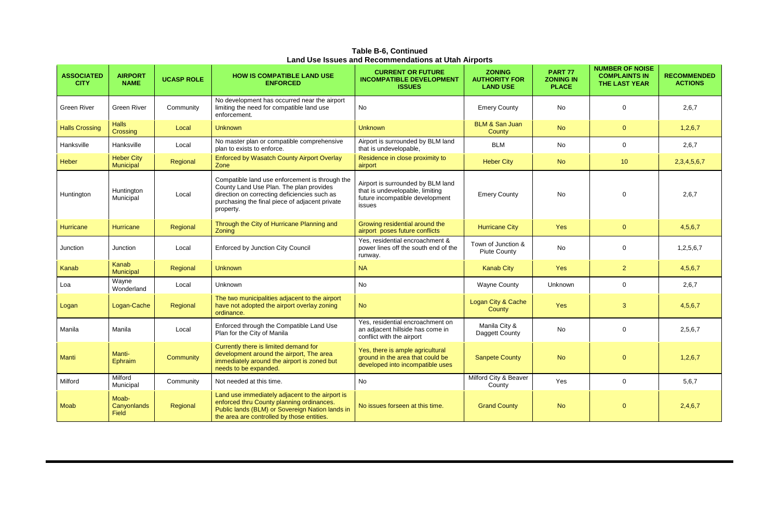**Table B-6, Continued Land Use Issues and Recommendations at Utah Airports**

| <b>ASSOCIATED</b><br><b>CITY</b> | <b>AIRPORT</b><br><b>NAME</b>  | <b>UCASP ROLE</b> | <b>HOW IS COMPATIBLE LAND USE</b><br><b>ENFORCED</b>                                                                                                                                                     | <b>CURRENT OR FUTURE</b><br><b>INCOMPATIBLE DEVELOPMENT</b><br><b>ISSUES</b>                                      | <b>ZONING</b><br><b>AUTHORITY FOR</b><br><b>LAND USE</b> | <b>PART 77</b><br><b>ZONING IN</b><br><b>PLACE</b> | <b>NUMBER OF NOISE</b><br><b>COMPLAINTS IN</b><br><b>THE LAST YEAR</b> | <b>RECOMMENDED</b><br><b>ACTIONS</b> |
|----------------------------------|--------------------------------|-------------------|----------------------------------------------------------------------------------------------------------------------------------------------------------------------------------------------------------|-------------------------------------------------------------------------------------------------------------------|----------------------------------------------------------|----------------------------------------------------|------------------------------------------------------------------------|--------------------------------------|
| <b>Green River</b>               | <b>Green River</b>             | Community         | No development has occurred near the airport<br>limiting the need for compatible land use<br>enforcement.                                                                                                | <b>No</b>                                                                                                         | <b>Emery County</b>                                      | No                                                 | 0                                                                      | 2,6,7                                |
| <b>Halls Crossing</b>            | <b>Halls</b><br>Crossing       | Local             | <b>Unknown</b>                                                                                                                                                                                           | <b>Unknown</b>                                                                                                    | <b>BLM &amp; San Juan</b><br>County                      | <b>No</b>                                          | $\overline{0}$                                                         | 1,2,6,7                              |
| Hanksville                       | Hanksville                     | Local             | No master plan or compatible comprehensive<br>plan to exists to enforce.                                                                                                                                 | Airport is surrounded by BLM land<br>that is undevelopable,                                                       | <b>BLM</b>                                               | No                                                 | 0                                                                      | 2,6,7                                |
| Heber                            | <b>Heber City</b><br>Municipal | Regional          | <b>Enforced by Wasatch County Airport Overlay</b><br>Zone                                                                                                                                                | Residence in close proximity to<br>airport                                                                        | <b>Heber City</b>                                        | <b>No</b>                                          | 10 <sup>°</sup>                                                        | 2,3,4,5,6,7                          |
| Huntington                       | Huntington<br>Municipal        | Local             | Compatible land use enforcement is through the<br>County Land Use Plan. The plan provides<br>direction on correcting deficiencies such as<br>purchasing the final piece of adjacent private<br>property. | Airport is surrounded by BLM land<br>that is undevelopable, limiting<br>future incompatible development<br>issues | <b>Emery County</b>                                      | No                                                 | $\mathbf{0}$                                                           | 2,6,7                                |
| Hurricane                        | <b>Hurricane</b>               | Regional          | Through the City of Hurricane Planning and<br>Zoning                                                                                                                                                     | Growing residential around the<br>airport poses future conflicts                                                  | <b>Hurricane City</b>                                    | Yes                                                | $\overline{0}$                                                         | 4,5,6,7                              |
| Junction                         | Junction                       | Local             | <b>Enforced by Junction City Council</b>                                                                                                                                                                 | Yes, residential encroachment &<br>power lines off the south end of the<br>runway.                                | Town of Junction &<br><b>Piute County</b>                | No                                                 | $\mathbf{0}$                                                           | 1,2,5,6,7                            |
| Kanab                            | Kanab<br>Municipal             | Regional          | <b>Unknown</b>                                                                                                                                                                                           | <b>NA</b>                                                                                                         | <b>Kanab City</b>                                        | Yes                                                | $\overline{2}$                                                         | 4,5,6,7                              |
| Loa                              | Wayne<br>Wonderland            | Local             | Unknown                                                                                                                                                                                                  | No                                                                                                                | <b>Wayne County</b>                                      | Unknown                                            | $\mathbf 0$                                                            | 2,6,7                                |
| Logan                            | Logan-Cache                    | Regional          | The two municipalities adjacent to the airport<br>have not adopted the airport overlay zoning<br>ordinance.                                                                                              | <b>No</b>                                                                                                         | Logan City & Cache<br>County                             | Yes                                                | 3                                                                      | 4,5,6,7                              |
| Manila                           | Manila                         | Local             | Enforced through the Compatible Land Use<br>Plan for the City of Manila                                                                                                                                  | Yes, residential encroachment on<br>an adjacent hillside has come in<br>conflict with the airport                 | Manila City &<br>Daggett County                          | No                                                 | 0                                                                      | 2,5,6,7                              |
| Manti                            | Manti-<br>Ephraim              | <b>Community</b>  | Currently there is limited demand for<br>development around the airport, The area<br>immediately around the airport is zoned but<br>needs to be expanded.                                                | Yes, there is ample agricultural<br>ground in the area that could be<br>developed into incompatible uses          | <b>Sanpete County</b>                                    | <b>No</b>                                          | $\overline{0}$                                                         | 1,2,6,7                              |
| Milford                          | Milford<br>Municipal           | Community         | Not needed at this time.                                                                                                                                                                                 | No                                                                                                                | Milford City & Beaver<br>County                          | Yes                                                | $\mathbf 0$                                                            | 5,6,7                                |
| Moab                             | Moab-<br>Canyonlands<br>Field  | Regional          | Land use immediately adjacent to the airport is<br>enforced thru County planning ordinances.<br>Public lands (BLM) or Sovereign Nation lands in<br>the area are controlled by those entities.            | No issues forseen at this time.                                                                                   | <b>Grand County</b>                                      | <b>No</b>                                          | $\mathbf{O}$                                                           | 2,4,6,7                              |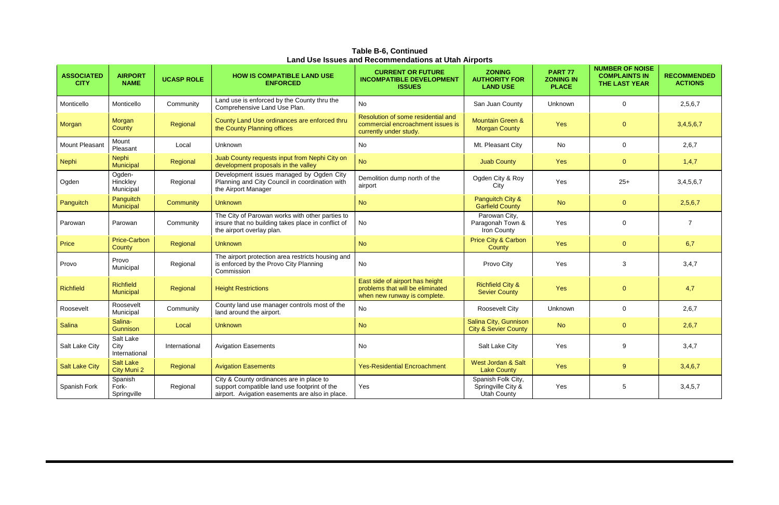**Table B-6, Continued Land Use Issues and Recommendations at Utah Airports**

| <b>ASSOCIATED</b><br><b>CITY</b> | <b>AIRPORT</b><br><b>NAME</b>      | <b>UCASP ROLE</b> | <b>HOW IS COMPATIBLE LAND USE</b><br><b>ENFORCED</b>                                                                                        | <b>CURRENT OR FUTURE</b><br><b>INCOMPATIBLE DEVELOPMENT</b><br><b>ISSUES</b>                        | <b>ZONING</b><br><b>AUTHORITY FOR</b><br><b>LAND USE</b>       | <b>PART 77</b><br><b>ZONING IN</b><br><b>PLACE</b> | <b>NUMBER OF NOISE</b><br><b>COMPLAINTS IN</b><br><b>THE LAST YEAR</b> | <b>RECOMMENDED</b><br><b>ACTIONS</b> |
|----------------------------------|------------------------------------|-------------------|---------------------------------------------------------------------------------------------------------------------------------------------|-----------------------------------------------------------------------------------------------------|----------------------------------------------------------------|----------------------------------------------------|------------------------------------------------------------------------|--------------------------------------|
| Monticello                       | Monticello                         | Community         | Land use is enforced by the County thru the<br>Comprehensive Land Use Plan.                                                                 | <b>No</b>                                                                                           | San Juan County                                                | Unknown                                            | $\mathbf 0$                                                            | 2,5,6,7                              |
| Morgan                           | Morgan<br>County                   | Regional          | County Land Use ordinances are enforced thru<br>the County Planning offices                                                                 | Resolution of some residential and<br>commercial encroachment issues is<br>currently under study.   | <b>Mountain Green &amp;</b><br><b>Morgan County</b>            | <b>Yes</b>                                         | $\mathbf{0}$                                                           | 3,4,5,6,7                            |
| Mount Pleasant                   | Mount<br>Pleasant                  | Local             | Unknown                                                                                                                                     | No                                                                                                  | Mt. Pleasant City                                              | No                                                 | $\mathbf 0$                                                            | 2,6,7                                |
| <b>Nephi</b>                     | <b>Nephi</b><br>Municipal          | Regional          | Juab County requests input from Nephi City on<br>development proposals in the valley                                                        | <b>No</b>                                                                                           | <b>Juab County</b>                                             | Yes                                                | $\mathbf{0}$                                                           | 1,4,7                                |
| Ogden                            | Ogden-<br>Hinckley<br>Municipal    | Regional          | Development issues managed by Ogden City<br>Planning and City Council in coordination with<br>the Airport Manager                           | Demolition dump north of the<br>airport                                                             | Ogden City & Roy<br>City                                       | Yes                                                | $25+$                                                                  | 3,4,5,6,7                            |
| Panguitch                        | Panguitch<br>Municipal             | Community         | <b>Unknown</b>                                                                                                                              | <b>No</b>                                                                                           | Panguitch City &<br><b>Garfield County</b>                     | <b>No</b>                                          | $\mathbf{0}$                                                           | 2,5,6,7                              |
| Parowan                          | Parowan                            | Community         | The City of Parowan works with other parties to<br>insure that no building takes place in conflict of<br>the airport overlay plan.          | No                                                                                                  | Parowan City,<br>Paragonah Town &<br>Iron County               | Yes                                                | $\mathbf 0$                                                            | $\overline{7}$                       |
| Price                            | <b>Price-Carbon</b><br>County      | Regional          | <b>Unknown</b>                                                                                                                              | <b>No</b>                                                                                           | <b>Price City &amp; Carbon</b><br>County                       | Yes                                                | $\overline{0}$                                                         | 6,7                                  |
| Provo                            | Provo<br>Municipal                 | Regional          | The airport protection area restricts housing and<br>is enforced by the Provo City Planning<br>Commission                                   | No                                                                                                  | Provo City                                                     | Yes                                                | 3                                                                      | 3,4,7                                |
| <b>Richfield</b>                 | <b>Richfield</b><br>Municipal      | Regional          | <b>Height Restrictions</b>                                                                                                                  | East side of airport has height<br>problems that will be eliminated<br>when new runway is complete. | <b>Richfield City &amp;</b><br><b>Sevier County</b>            | Yes                                                | $\mathbf{0}$                                                           | 4,7                                  |
| Roosevelt                        | Roosevelt<br>Municipal             | Community         | County land use manager controls most of the<br>land around the airport.                                                                    | No                                                                                                  | Roosevelt City                                                 | Unknown                                            | 0                                                                      | 2,6,7                                |
| Salina                           | Salina-<br><b>Gunnison</b>         | Local             | <b>Unknown</b>                                                                                                                              | <b>No</b>                                                                                           | Salina City, Gunnison<br><b>City &amp; Sevier County</b>       | <b>No</b>                                          | $\overline{0}$                                                         | 2,6,7                                |
| Salt Lake City                   | Salt Lake<br>City<br>International | International     | <b>Avigation Easements</b>                                                                                                                  | No                                                                                                  | Salt Lake City                                                 | Yes                                                | 9                                                                      | 3,4,7                                |
| <b>Salt Lake City</b>            | <b>Salt Lake</b><br>City Muni 2    | Regional          | <b>Avigation Easements</b>                                                                                                                  | <b>Yes-Residential Encroachment</b>                                                                 | West Jordan & Salt<br><b>Lake County</b>                       | Yes                                                | 9 <sup>°</sup>                                                         | 3,4,6,7                              |
| Spanish Fork                     | Spanish<br>Fork-<br>Springville    | Regional          | City & County ordinances are in place to<br>support compatible land use footprint of the<br>airport. Avigation easements are also in place. | Yes                                                                                                 | Spanish Folk City,<br>Springville City &<br><b>Utah County</b> | Yes                                                | 5                                                                      | 3,4,5,7                              |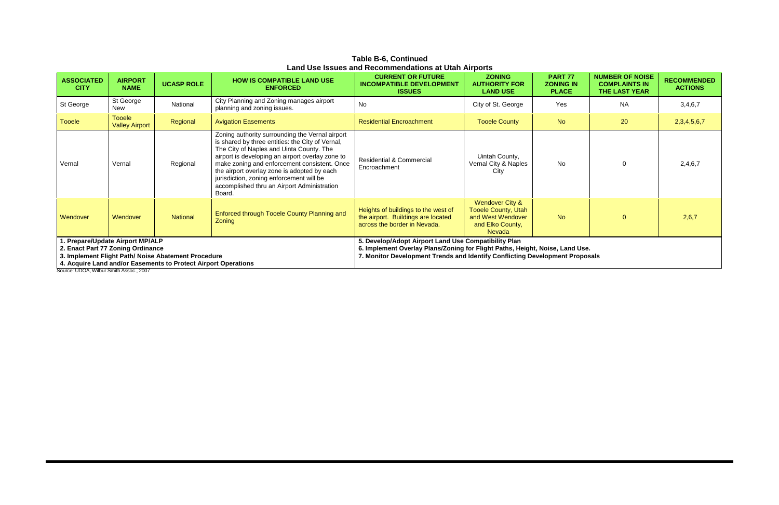**Table B-6, Continued Land Use Issues and Recommendations at Utah Airports**

| <b>ASSOCIATED</b><br><b>CITY</b>                                                                                                                                                              | <b>AIRPORT</b><br><b>NAME</b>          | <b>UCASP ROLE</b> | <b>HOW IS COMPATIBLE LAND USE</b><br><b>ENFORCED</b>                                                                                                                                                                                                                                                                                                                                                    | <b>CURRENT OR FUTURE</b><br><b>INCOMPATIBLE DEVELOPMENT</b><br><b>ISSUES</b>                              | <b>ZONING</b><br><b>AUTHORITY FOR</b><br><b>LAND USE</b>                                                | <b>PART 77</b><br><b>ZONING IN</b><br><b>PLACE</b> | <b>NUMBER OF NOISE</b><br><b>COMPLAINTS IN</b><br><b>THE LAST YEAR</b> | <b>RECOMMENDED</b><br><b>ACTIONS</b> |
|-----------------------------------------------------------------------------------------------------------------------------------------------------------------------------------------------|----------------------------------------|-------------------|---------------------------------------------------------------------------------------------------------------------------------------------------------------------------------------------------------------------------------------------------------------------------------------------------------------------------------------------------------------------------------------------------------|-----------------------------------------------------------------------------------------------------------|---------------------------------------------------------------------------------------------------------|----------------------------------------------------|------------------------------------------------------------------------|--------------------------------------|
| St George                                                                                                                                                                                     | St George<br><b>New</b>                | National          | City Planning and Zoning manages airport<br>planning and zoning issues.                                                                                                                                                                                                                                                                                                                                 | <b>No</b>                                                                                                 | City of St. George                                                                                      | Yes                                                | <b>NA</b>                                                              | 3,4,6,7                              |
| <b>Tooele</b>                                                                                                                                                                                 | <b>Tooele</b><br><b>Valley Airport</b> | Regional          | <b>Avigation Easements</b>                                                                                                                                                                                                                                                                                                                                                                              | <b>Residential Encroachment</b>                                                                           | <b>Tooele County</b>                                                                                    | <b>No</b>                                          | 20                                                                     | 2, 3, 4, 5, 6, 7                     |
| Vernal                                                                                                                                                                                        | Vernal                                 | Regional          | Zoning authority surrounding the Vernal airport<br>is shared by three entities: the City of Vernal,<br>The City of Naples and Uinta County. The<br>airport is developing an airport overlay zone to<br>make zoning and enforcement consistent. Once<br>the airport overlay zone is adopted by each<br>jurisdiction, zoning enforcement will be<br>accomplished thru an Airport Administration<br>Board. | <b>Residential &amp; Commercial</b><br>Encroachment                                                       | Uintah County,<br>Vernal City & Naples<br>City                                                          | No.                                                |                                                                        | 2,4,6,7                              |
| Wendover                                                                                                                                                                                      | Wendover                               | <b>National</b>   | Enforced through Tooele County Planning and<br>Zoning                                                                                                                                                                                                                                                                                                                                                   | Heights of buildings to the west of<br>the airport. Buildings are located<br>across the border in Nevada. | Wendover City &<br><b>Tooele County, Utah</b><br>and West Wendover<br>and Elko County,<br><b>Nevada</b> | <b>No</b>                                          | $\Omega$                                                               | 2,6,7                                |
| . Prepare/Update Airport MP/ALP<br>2. Enact Part 77 Zoning Ordinance<br>3. Implement Flight Path/ Noise Abatement Procedure<br>4. Acquire Land and/or Easements to Protect Airport Operations |                                        |                   | 5. Develop/Adopt Airport Land Use Compatibility Plan<br>6. Implement Overlay Plans/Zoning for Flight Paths, Height, Noise, Land Use.<br>7. Monitor Development Trends and Identify Conflicting Development Proposals                                                                                                                                                                                    |                                                                                                           |                                                                                                         |                                                    |                                                                        |                                      |

Source: UDOA, Wilbur Smith Assoc., 2007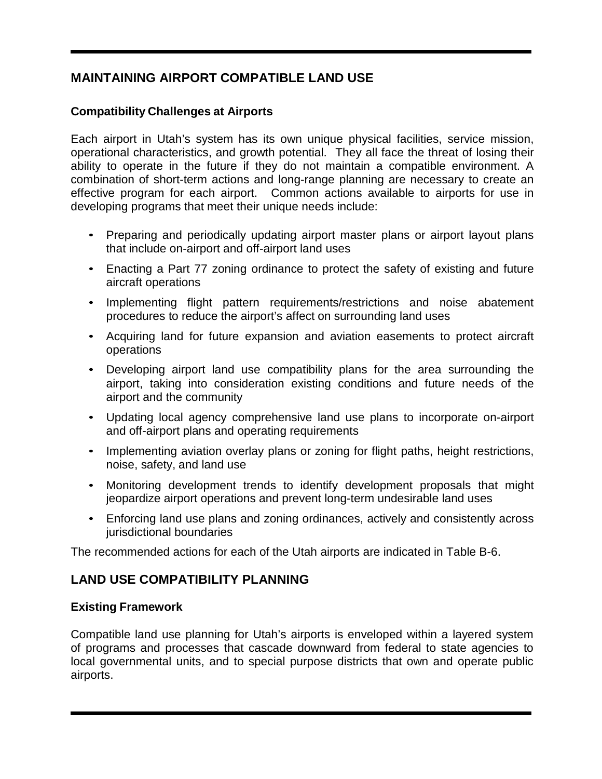# **MAINTAINING AIRPORT COMPATIBLE LAND USE**

## **Compatibility Challenges at Airports**

Each airport in Utah's system has its own unique physical facilities, service mission, operational characteristics, and growth potential. They all face the threat of losing their ability to operate in the future if they do not maintain a compatible environment. A combination of short-term actions and long-range planning are necessary to create an effective program for each airport. Common actions available to airports for use in developing programs that meet their unique needs include:

- Preparing and periodically updating airport master plans or airport layout plans that include on-airport and off-airport land uses
- Enacting a Part 77 zoning ordinance to protect the safety of existing and future aircraft operations
- Implementing flight pattern requirements/restrictions and noise abatement procedures to reduce the airport's affect on surrounding land uses
- Acquiring land for future expansion and aviation easements to protect aircraft operations
- Developing airport land use compatibility plans for the area surrounding the airport, taking into consideration existing conditions and future needs of the airport and the community
- Updating local agency comprehensive land use plans to incorporate on-airport and off-airport plans and operating requirements
- Implementing aviation overlay plans or zoning for flight paths, height restrictions, noise, safety, and land use
- Monitoring development trends to identify development proposals that might jeopardize airport operations and prevent long-term undesirable land uses
- Enforcing land use plans and zoning ordinances, actively and consistently across jurisdictional boundaries

The recommended actions for each of the Utah airports are indicated in Table B-6.

# **LAND USE COMPATIBILITY PLANNING**

## **Existing Framework**

Compatible land use planning for Utah's airports is enveloped within a layered system of programs and processes that cascade downward from federal to state agencies to local governmental units, and to special purpose districts that own and operate public airports.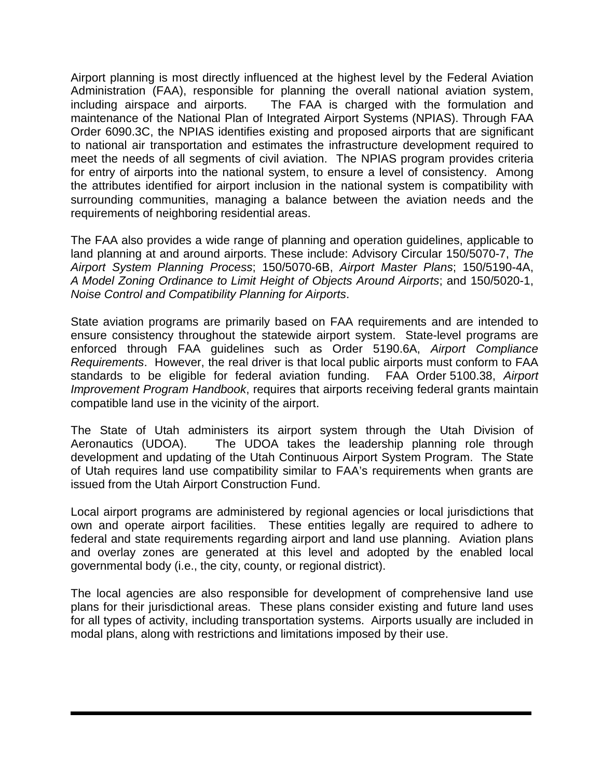Airport planning is most directly influenced at the highest level by the Federal Aviation Administration (FAA), responsible for planning the overall national aviation system, including airspace and airports. The FAA is charged with the formulation and maintenance of the National Plan of Integrated Airport Systems (NPIAS). Through FAA Order 6090.3C, the NPIAS identifies existing and proposed airports that are significant to national air transportation and estimates the infrastructure development required to meet the needs of all segments of civil aviation. The NPIAS program provides criteria for entry of airports into the national system, to ensure a level of consistency. Among the attributes identified for airport inclusion in the national system is compatibility with surrounding communities, managing a balance between the aviation needs and the requirements of neighboring residential areas.

The FAA also provides a wide range of planning and operation guidelines, applicable to land planning at and around airports. These include: Advisory Circular 150/5070-7, *The Airport System Planning Process*; 150/5070-6B, *Airport Master Plans*; 150/5190-4A, *A Model Zoning Ordinance to Limit Height of Objects Around Airports*; and 150/5020-1, *Noise Control and Compatibility Planning for Airports*.

State aviation programs are primarily based on FAA requirements and are intended to ensure consistency throughout the statewide airport system. State-level programs are enforced through FAA guidelines such as Order 5190.6A, *Airport Compliance Requirements*. However, the real driver is that local public airports must conform to FAA standards to be eligible for federal aviation funding. FAA Order 5100.38, *Airport Improvement Program Handbook*, requires that airports receiving federal grants maintain compatible land use in the vicinity of the airport.

The State of Utah administers its airport system through the Utah Division of Aeronautics (UDOA). The UDOA takes the leadership planning role through development and updating of the Utah Continuous Airport System Program. The State of Utah requires land use compatibility similar to FAA's requirements when grants are issued from the Utah Airport Construction Fund.

Local airport programs are administered by regional agencies or local jurisdictions that own and operate airport facilities. These entities legally are required to adhere to federal and state requirements regarding airport and land use planning. Aviation plans and overlay zones are generated at this level and adopted by the enabled local governmental body (i.e., the city, county, or regional district).

The local agencies are also responsible for development of comprehensive land use plans for their jurisdictional areas. These plans consider existing and future land uses for all types of activity, including transportation systems. Airports usually are included in modal plans, along with restrictions and limitations imposed by their use.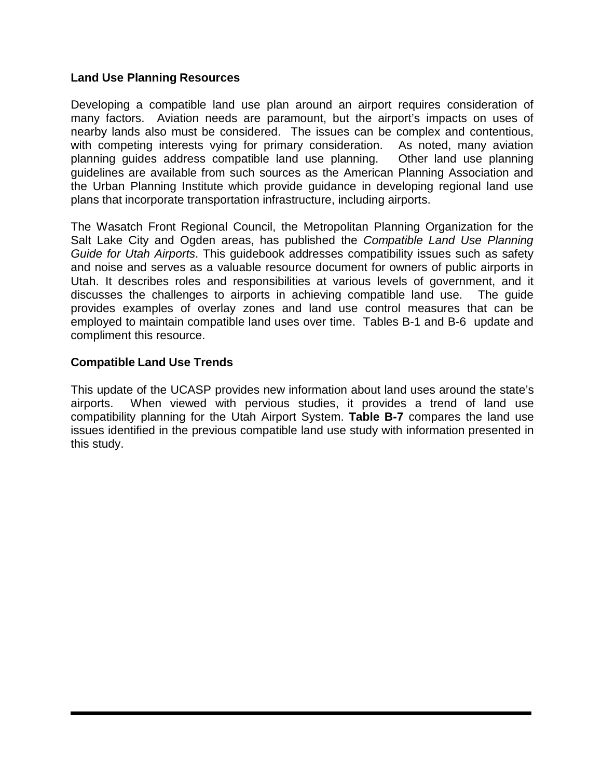#### **Land Use Planning Resources**

Developing a compatible land use plan around an airport requires consideration of many factors. Aviation needs are paramount, but the airport's impacts on uses of nearby lands also must be considered. The issues can be complex and contentious, with competing interests vying for primary consideration. As noted, many aviation planning guides address compatible land use planning. Other land use planning guidelines are available from such sources as the American Planning Association and the Urban Planning Institute which provide guidance in developing regional land use plans that incorporate transportation infrastructure, including airports.

The Wasatch Front Regional Council, the Metropolitan Planning Organization for the Salt Lake City and Ogden areas, has published the *Compatible Land Use Planning Guide for Utah Airports*. This guidebook addresses compatibility issues such as safety and noise and serves as a valuable resource document for owners of public airports in Utah. It describes roles and responsibilities at various levels of government, and it discusses the challenges to airports in achieving compatible land use. The guide provides examples of overlay zones and land use control measures that can be employed to maintain compatible land uses over time. Tables B-1 and B-6 update and compliment this resource.

#### **Compatible Land Use Trends**

This update of the UCASP provides new information about land uses around the state's airports. When viewed with pervious studies, it provides a trend of land use compatibility planning for the Utah Airport System. **Table B-7** compares the land use issues identified in the previous compatible land use study with information presented in this study.